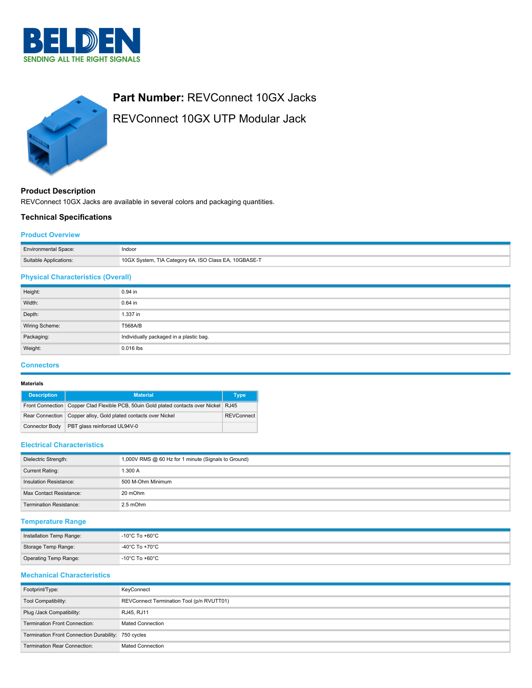



# **Part Number:** REVConnect 10GX Jacks REVConnect 10GX UTP Modular Jack

# **Product Description**

REVConnect 10GX Jacks are available in several colors and packaging quantities.

# **Technical Specifications**

#### **Product Overview**

| <b>Environmental Space:</b> | Indoor                                                |
|-----------------------------|-------------------------------------------------------|
| Suitable Applications:      | 10GX System, TIA Category 6A, ISO Class EA, 10GBASE-T |

# **Physical Characteristics (Overall)**

| --             |                                         |
|----------------|-----------------------------------------|
| Height:        | 0.94 in                                 |
| Width:         | 0.64 in                                 |
| Depth:         | 1.337 in                                |
| Wiring Scheme: | <b>T568A/B</b>                          |
| Packaging:     | Individually packaged in a plastic bag. |
| Weight:        | 0.016 lbs                               |

# **Connectors**

#### **Materials**

| <b>Description</b> | <b>Material</b>                                                                        | Type              |
|--------------------|----------------------------------------------------------------------------------------|-------------------|
|                    | Front Connection Copper Clad Flexible PCB, 50uin Gold plated contacts over Nickel RJ45 |                   |
|                    | Rear Connection   Copper alloy, Gold plated contacts over Nickel                       | <b>REVConnect</b> |
| Connector Body     | PBT glass reinforced UL94V-0                                                           |                   |

# **Electrical Characteristics**

| Dielectric Strength:           | 1,000V RMS @ 60 Hz for 1 minute (Signals to Ground) |  |  |
|--------------------------------|-----------------------------------------------------|--|--|
| Current Rating:                | 1.300 A                                             |  |  |
| Insulation Resistance:         | 500 M-Ohm Minimum                                   |  |  |
| Max Contact Resistance:        | 20 mOhm                                             |  |  |
| <b>Termination Resistance:</b> | 2.5 mOhm                                            |  |  |

# **Temperature Range**

| Installation Temp Range: | $-10^{\circ}$ C To +60 $^{\circ}$ C |
|--------------------------|-------------------------------------|
| Storage Temp Range:      | -40°C To +70°C                      |
| Operating Temp Range:    | -10°C To +60°C                      |

# **Mechanical Characteristics**

| Footprint/Type:                                     | KeyConnect                                |
|-----------------------------------------------------|-------------------------------------------|
| Tool Compatibility:                                 | REVConnect Termination Tool (p/n RVUTT01) |
| Plug /Jack Compatibility:                           | RJ45, RJ11                                |
| Termination Front Connection:                       | <b>Mated Connection</b>                   |
| Termination Front Connection Durability: 750 cycles |                                           |
| <b>Termination Rear Connection:</b>                 | <b>Mated Connection</b>                   |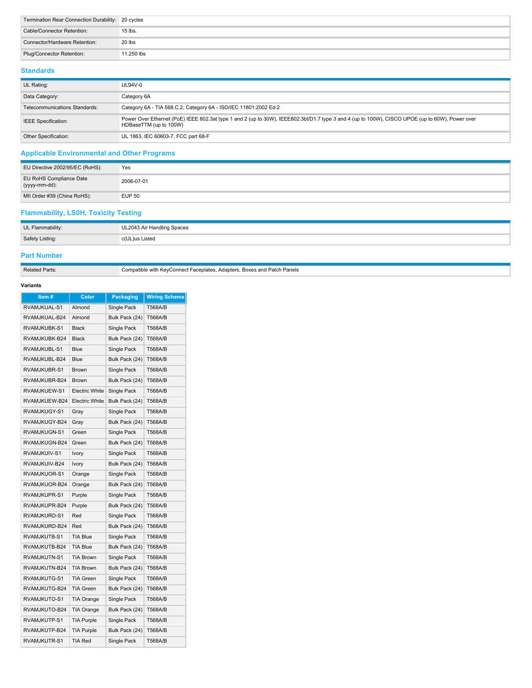| Termination Rear Connection Durability: 20 cycles |            |
|---------------------------------------------------|------------|
| Cable/Connector Retention:                        | 15 lbs.    |
| Connector/Hardware Retention:                     | 20 lbs     |
| Plug/Connector Retention:                         | 11.250 lbs |

# **Standards**

| UL Rating:                    | UL94V-0                                                                                                                                                                   |
|-------------------------------|---------------------------------------------------------------------------------------------------------------------------------------------------------------------------|
| Data Category:                | Category 6A                                                                                                                                                               |
| Telecommunications Standards: | Category 6A - TIA 568.C.2, Category 6A - ISO/IEC 11801:2002 Ed.2                                                                                                          |
| <b>IEEE</b> Specification:    | Power Over Ethernet (PoE) IEEE 802.3at type 1 and 2 (up to 30W), IEEE802.3bt/D1.7 type 3 and 4 (up to 100W), CISCO UPOE (up to 60W), Power over<br>HDBaseTTM (up to 100W) |
| Other Specification:          | UL 1863, IEC 60603-7, FCC part 68-F                                                                                                                                       |

# **Applicable Environmental and Other Programs**

| EU Directive 2002/95/EC (RoHS):          | Yes           |
|------------------------------------------|---------------|
| EU RoHS Compliance Date<br>(yyyy-mm-dd): | 2006-07-01    |
| MII Order #39 (China RoHS):              | <b>EUP 50</b> |

# **Flammability, LS0H, Toxicity Testing**

| UL Flammability: | 2043 Air Handling Spaces |
|------------------|--------------------------|
| Safety Listing:  | L)us Listed<br>c(1)      |

# **Part Number**

Related Parts: Compatible with KeyConnect Faceplates, Adapters, Boxes and Patch Panels

#### **Variants**

| Item#         | Color                 | <b>Packaging</b> | <b>Wiring Scheme</b> |
|---------------|-----------------------|------------------|----------------------|
| RVAMJKUAL-S1  | Almond                | Single Pack      | <b>T568A/B</b>       |
| RVAMJKUAL-B24 | Almond                | Bulk Pack (24)   | T568A/B              |
| RVAMJKUBK-S1  | <b>Black</b>          | Single Pack      | T568A/B              |
| RVAMJKUBK-B24 | <b>Black</b>          | Bulk Pack (24)   | T568A/B              |
| RVAMJKUBL-S1  | Blue                  | Single Pack      | <b>T568A/B</b>       |
| RVAMJKUBL-B24 | Blue                  | Bulk Pack (24)   | T568A/B              |
| RVAMJKUBR-S1  | <b>Brown</b>          | Single Pack      | T568A/B              |
| RVAMJKUBR-B24 | <b>Brown</b>          | Bulk Pack (24)   | T568A/B              |
| RVAMJKUEW-S1  | <b>Electric White</b> | Single Pack      | T568A/B              |
| RVAMJKUEW-B24 | <b>Electric White</b> | Bulk Pack (24)   | <b>T568A/B</b>       |
| RVAMJKUGY-S1  | Gray                  | Single Pack      | T568A/B              |
| RVAMJKUGY-B24 | Gray                  | Bulk Pack (24)   | <b>T568A/B</b>       |
| RVAMJKUGN-S1  | Green                 | Single Pack      | T568A/B              |
| RVAMJKUGN-B24 | Green                 | Bulk Pack (24)   | <b>T568A/B</b>       |
| RVAMJKUIV-S1  | Ivory                 | Single Pack      | <b>T568A/B</b>       |
| RVAMJKUIV-B24 | Ivory                 | Bulk Pack (24)   | <b>T568A/B</b>       |
| RVAMJKUOR-S1  | Orange                | Single Pack      | <b>T568A/B</b>       |
| RVAMJKUOR-B24 | Orange                | Bulk Pack (24)   | <b>T568A/B</b>       |
| RVAMJKUPR-S1  | Purple                | Single Pack      | T568A/B              |
| RVAMJKUPR-B24 | Purple                | Bulk Pack (24)   | <b>T568A/B</b>       |
| RVAMJKURD-S1  | Red                   | Single Pack      | <b>T568A/B</b>       |
| RVAMJKURD-B24 | Red                   | Bulk Pack (24)   | <b>T568A/B</b>       |
| RVAMJKUTB-S1  | <b>TIA Blue</b>       | Single Pack      | T568A/B              |
| RVAMJKUTB-B24 | <b>TIA Blue</b>       | Bulk Pack (24)   | <b>T568A/B</b>       |
| RVAMJKUTN-S1  | <b>TIA Brown</b>      | Single Pack      | <b>T568A/B</b>       |
| RVAMJKUTN-B24 | <b>TIA Brown</b>      | Bulk Pack (24)   | T568A/B              |
| RVAMJKUTG-S1  | <b>TIA Green</b>      | Single Pack      | <b>T568A/B</b>       |
| RVAMJKUTG-B24 | <b>TIA Green</b>      | Bulk Pack (24)   | <b>T568A/B</b>       |
| RVAMJKUTO-S1  | TIA Orange            | Single Pack      | <b>T568A/B</b>       |
| RVAMJKUTO-B24 | <b>TIA Orange</b>     | Bulk Pack (24)   | <b>T568A/B</b>       |
| RVAMJKUTP-S1  | <b>TIA Purple</b>     | Single Pack      | <b>T568A/B</b>       |
| RVAMJKUTP-B24 | <b>TIA Purple</b>     | Bulk Pack (24)   | <b>T568A/B</b>       |
| RVAMJKUTR-S1  | <b>TIA Red</b>        | Single Pack      | T568A/B              |